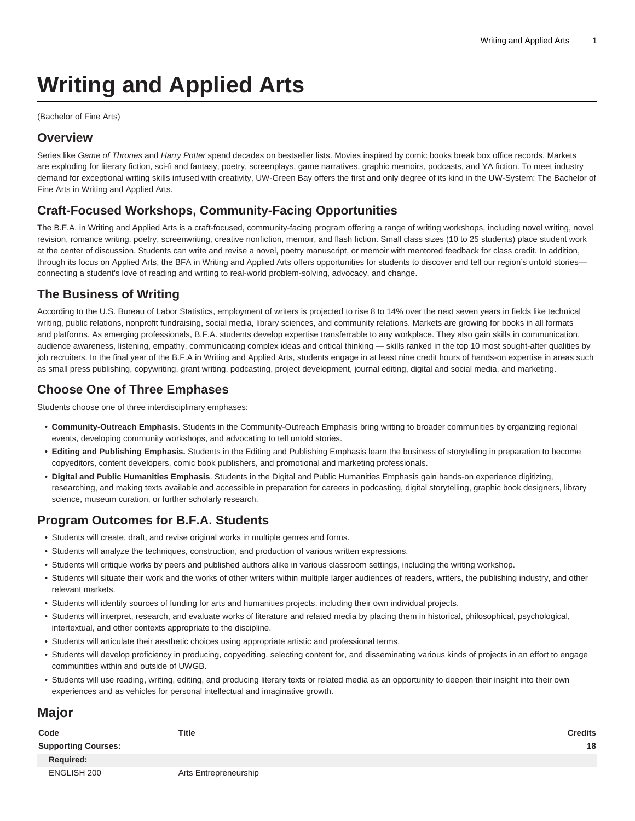# **Writing and Applied Arts**

(Bachelor of Fine Arts)

#### **Overview**

Series like Game of Thrones and Harry Potter spend decades on bestseller lists. Movies inspired by comic books break box office records. Markets are exploding for literary fiction, sci-fi and fantasy, poetry, screenplays, game narratives, graphic memoirs, podcasts, and YA fiction. To meet industry demand for exceptional writing skills infused with creativity, UW-Green Bay offers the first and only degree of its kind in the UW-System: The Bachelor of Fine Arts in Writing and Applied Arts.

# **Craft-Focused Workshops, Community-Facing Opportunities**

The B.F.A. in Writing and Applied Arts is a craft-focused, community-facing program offering a range of writing workshops, including novel writing, novel revision, romance writing, poetry, screenwriting, creative nonfiction, memoir, and flash fiction. Small class sizes (10 to 25 students) place student work at the center of discussion. Students can write and revise a novel, poetry manuscript, or memoir with mentored feedback for class credit. In addition, through its focus on Applied Arts, the BFA in Writing and Applied Arts offers opportunities for students to discover and tell our region's untold stories connecting a student's love of reading and writing to real-world problem-solving, advocacy, and change.

# **The Business of Writing**

According to the U.S. Bureau of Labor Statistics, employment of writers is projected to rise 8 to 14% over the next seven years in fields like technical writing, public relations, nonprofit fundraising, social media, library sciences, and community relations. Markets are growing for books in all formats and platforms. As emerging professionals, B.F.A. students develop expertise transferrable to any workplace. They also gain skills in communication, audience awareness, listening, empathy, communicating complex ideas and critical thinking — skills ranked in the top 10 most sought-after qualities by job recruiters. In the final year of the B.F.A in Writing and Applied Arts, students engage in at least nine credit hours of hands-on expertise in areas such as small press publishing, copywriting, grant writing, podcasting, project development, journal editing, digital and social media, and marketing.

### **Choose One of Three Emphases**

Students choose one of three interdisciplinary emphases:

- **Community-Outreach Emphasis**. Students in the Community-Outreach Emphasis bring writing to broader communities by organizing regional events, developing community workshops, and advocating to tell untold stories.
- **Editing and Publishing Emphasis.** Students in the Editing and Publishing Emphasis learn the business of storytelling in preparation to become copyeditors, content developers, comic book publishers, and promotional and marketing professionals.
- **Digital and Public Humanities Emphasis**. Students in the Digital and Public Humanities Emphasis gain hands-on experience digitizing, researching, and making texts available and accessible in preparation for careers in podcasting, digital storytelling, graphic book designers, library science, museum curation, or further scholarly research.

# **Program Outcomes for B.F.A. Students**

- Students will create, draft, and revise original works in multiple genres and forms.
- Students will analyze the techniques, construction, and production of various written expressions.
- Students will critique works by peers and published authors alike in various classroom settings, including the writing workshop.
- Students will situate their work and the works of other writers within multiple larger audiences of readers, writers, the publishing industry, and other relevant markets.
- Students will identify sources of funding for arts and humanities projects, including their own individual projects.
- Students will interpret, research, and evaluate works of literature and related media by placing them in historical, philosophical, psychological, intertextual, and other contexts appropriate to the discipline.
- Students will articulate their aesthetic choices using appropriate artistic and professional terms.
- Students will develop proficiency in producing, copyediting, selecting content for, and disseminating various kinds of projects in an effort to engage communities within and outside of UWGB.
- Students will use reading, writing, editing, and producing literary texts or related media as an opportunity to deepen their insight into their own experiences and as vehicles for personal intellectual and imaginative growth.

# **Major**

| Code                       | Title                 | <b>Credits</b> |
|----------------------------|-----------------------|----------------|
| <b>Supporting Courses:</b> |                       | 18             |
| Required:                  |                       |                |
| ENGLISH 200                | Arts Entrepreneurship |                |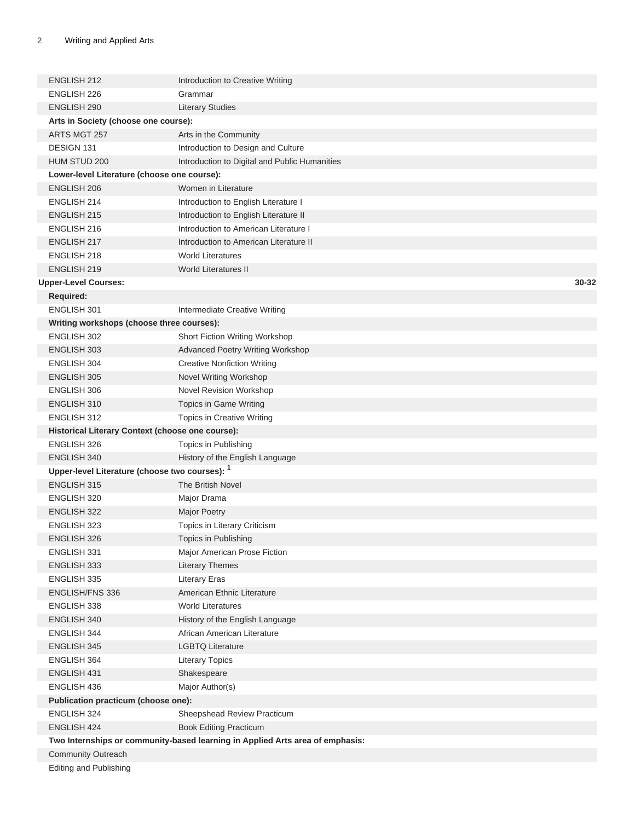| <b>ENGLISH 212</b>                               | Introduction to Creative Writing                                              |       |
|--------------------------------------------------|-------------------------------------------------------------------------------|-------|
| <b>ENGLISH 226</b>                               | Grammar                                                                       |       |
| <b>ENGLISH 290</b>                               | <b>Literary Studies</b>                                                       |       |
| Arts in Society (choose one course):             |                                                                               |       |
| ARTS MGT 257                                     | Arts in the Community                                                         |       |
| DESIGN 131                                       | Introduction to Design and Culture                                            |       |
| HUM STUD 200                                     | Introduction to Digital and Public Humanities                                 |       |
| Lower-level Literature (choose one course):      |                                                                               |       |
| <b>ENGLISH 206</b>                               | Women in Literature                                                           |       |
| ENGLISH 214                                      |                                                                               |       |
| <b>ENGLISH 215</b>                               | Introduction to English Literature I                                          |       |
|                                                  | Introduction to English Literature II                                         |       |
| ENGLISH 216                                      | Introduction to American Literature I                                         |       |
| ENGLISH 217                                      | Introduction to American Literature II                                        |       |
| ENGLISH 218                                      | <b>World Literatures</b>                                                      |       |
| ENGLISH 219                                      | <b>World Literatures II</b>                                                   |       |
| <b>Upper-Level Courses:</b>                      |                                                                               | 30-32 |
| <b>Required:</b>                                 |                                                                               |       |
| <b>ENGLISH 301</b>                               | Intermediate Creative Writing                                                 |       |
| Writing workshops (choose three courses):        |                                                                               |       |
| ENGLISH 302                                      | Short Fiction Writing Workshop                                                |       |
| <b>ENGLISH 303</b>                               | <b>Advanced Poetry Writing Workshop</b>                                       |       |
| ENGLISH 304                                      | <b>Creative Nonfiction Writing</b>                                            |       |
| <b>ENGLISH 305</b>                               | Novel Writing Workshop                                                        |       |
| <b>ENGLISH 306</b>                               | Novel Revision Workshop                                                       |       |
| ENGLISH 310                                      | Topics in Game Writing                                                        |       |
| ENGLISH 312                                      | Topics in Creative Writing                                                    |       |
| Historical Literary Context (choose one course): |                                                                               |       |
| ENGLISH 326                                      | Topics in Publishing                                                          |       |
| ENGLISH 340                                      | History of the English Language                                               |       |
| Upper-level Literature (choose two courses): 1   |                                                                               |       |
| <b>ENGLISH 315</b>                               | The British Novel                                                             |       |
| ENGLISH 320                                      | Major Drama                                                                   |       |
| <b>ENGLISH 322</b>                               | <b>Major Poetry</b>                                                           |       |
| ENGLISH 323                                      | Topics in Literary Criticism                                                  |       |
| ENGLISH 326                                      | Topics in Publishing                                                          |       |
| ENGLISH 331                                      | Major American Prose Fiction                                                  |       |
| ENGLISH 333                                      | <b>Literary Themes</b>                                                        |       |
| ENGLISH 335                                      | <b>Literary Eras</b>                                                          |       |
| ENGLISH/FNS 336                                  | American Ethnic Literature                                                    |       |
| ENGLISH 338                                      | <b>World Literatures</b>                                                      |       |
| ENGLISH 340                                      | History of the English Language                                               |       |
| ENGLISH 344                                      | African American Literature                                                   |       |
| ENGLISH 345                                      | <b>LGBTQ Literature</b>                                                       |       |
| ENGLISH 364                                      | <b>Literary Topics</b>                                                        |       |
| ENGLISH 431                                      | Shakespeare                                                                   |       |
| ENGLISH 436                                      | Major Author(s)                                                               |       |
| Publication practicum (choose one):              |                                                                               |       |
| ENGLISH 324                                      | Sheepshead Review Practicum                                                   |       |
| ENGLISH 424                                      | <b>Book Editing Practicum</b>                                                 |       |
|                                                  | Two Internships or community-based learning in Applied Arts area of emphasis: |       |
| <b>Community Outreach</b>                        |                                                                               |       |
| <b>Editing and Publishing</b>                    |                                                                               |       |